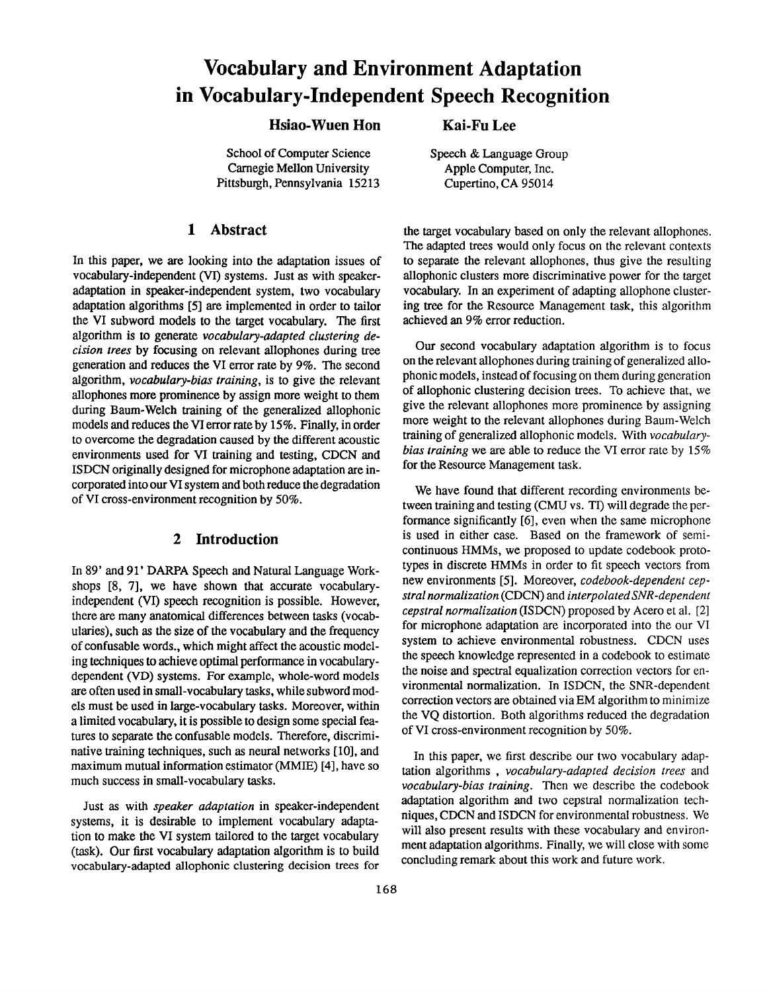# **Vocabulary and Environment Adaptation in Vocabulary-Independent Speech Recognition**

# **Hsiao-Wuen Hon Kai-Fu Lee**

School of Computer Science Carnegie Mellon University Pittsburgh, Pennsylvania 15213

# **1 Abstract**

In this paper, we are looking into the adaptation issues of vocabulary-independent (VI) systems. Just as with speakeradaptation in speaker-independent system, two vocabulary adaptation algorithms [5] are implemented in order to tailor the VI **subword models** to the target vocabulary. The first algorithm is **to generate** *vocabulary-adapted clustering decision trees* by focusing on relevant allophones during tree generation and reduces the VI error rate by 9%. The second algorithm, *vocabulary-bias training,* is to give the relevant allophones more prominence by assign more weight to them during Baum-Welch training of the generalized allophonic models and reduces the VI error rate by 15%. Finally, in order to overcome the degradation caused by the different acoustic environments used for VI training and testing, CDCN and ISDCN originally designed for microphone adaptation are incorporated into our VI system and both reduce the degradation of VI cross-environment recognition by 50%.

#### **2 Introduction**

In 89' and 91' DARPA Speech and Natural Language Workshops [8, 7], we have shown that accurate vocabularyindependent (VI) speech recognition is possible. However, there are many anatomical differences between tasks (vocabularies), such as the size of the vocabulary and the frequency of confusable words., which might affect the acoustic modeling techniques to achieve optimal performance in vocabularydependent (VD) systems. For example, whole-word models are often used in small-vocabulary tasks, while subword models must be used in large-vocabulary tasks. Moreover, within a limited vocabulary, it is possible to design some special features to separate the confusable models. Therefore, discriminative training techniques, such as neural networks [10], and maximum mutual information estimator (MMIE) [4], have so much success in small-vocabulary tasks.

Just as with *speaker adaptation* in speaker-independent systems, it is desirable to implement vocabulary adaptation to make the VI system tailored to the target vocabulary (task). Our first vocabulary adaptation algorithm is to build vocabulary-adapted allophonic clustering decision trees for

the target vocabulary based on only the relevant allophones. The adapted trees would only focus on the relevant contexts to separate the relevant allophones, thus give the resulting allophonic clusters more discriminative power for the target vocabulary. In an experiment of adapting allophone clustering tree for the Resource Management task, this algorithm achieved an 9% error reduction.

Our second vocabulary adaptation algorithm is to focus on the relevant allophones during training of generalized allophonic models, instead of focusing on them during generation of allophonic clustering decision trees. To achieve that, we give the relevant allophones more prominence by assigning more weight to the relevant allophones during Baum-Welch training of generalized allophonic models. With *vocabularybias training* we are able to reduce the VI error rate by 15% for the Resource Management task.

We have found that different recording environments between training and testing (CMU vs. TI) will degrade the performance significantly [6], even when the same microphone is used in either case. Based on the framework of semicontinuous HMMs, we proposed to update codebook prototypes in discrete HMMs in order to fit speech vectors from new environments [5]. Moreover, *codebook-dependent cepstral normalization* (CDCN) and *interpolated SNR-dependent cepstral normalization* (ISDCN) proposed by Acero et al. [2] for microphone adaptation are incorporated into the our VI system to achieve environmental robustness. CDCN uses the speech knowledge represented in a codebook to estimate the noise and spectral equalization correction vectors for environmental normalization. In ISDCN, the SNR-dependent correction vectors are obtained via EM algorithm to minimize the VQ distortion. Both algorithms reduced the degradation of VI cross-environment recognition by 50%.

In this paper, we first describe our two vocabulary adaptation algorithms , *vocabulary-adapted decision trees* and *vocabulary-bias training.* Then we describe the codebook adaptation algorithm and two cepstral normalization techniques, CDCN and ISDCN for environmental robustness. We will also present results with these vocabulary and environment adaptation algorithms. Finally, we will close with some concluding remark about this work and future work.

Speech & Language Group Apple Computer, Inc. Cupertino, CA 95014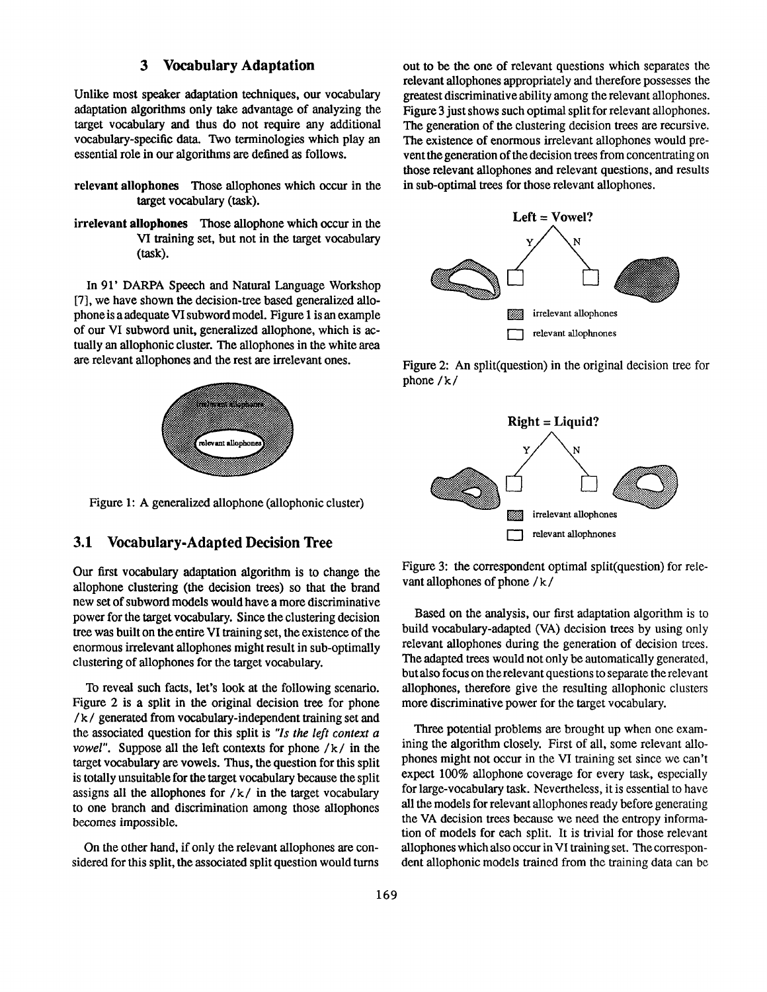# **3 Vocabulary Adaptation**

Unlike most speaker adaptation techniques, our vocabulary adaptation algorithms only take advantage of analyzing the target vocabulary and thus do not require any additional vocabulary-specific data. Two terminologies which play an essential role in our algorithms are defined as follows.

- **relevant allophones** Those allophones which occur in the target vocabulary (task).
- **irrelevant allophones** Those allophone which occur in the VI training set, but not in the target vocabulary (task).

In 91' DARPA Speech and Natural Language Workshop [7], we have shown the decision-tree based generalized allophone is a adequate VI subword model. Figure 1 is an example of our VI subword unit, generalized allophone, which is actually an allophonic cluster. The allophones in the white area are relevant allophones and the rest are irrelevant ones.



Figure 1: A generalized allophone (allophonic cluster)

### **3.1 Vocabulary.Adapted Decision Tree**

Our first vocabulary adaptation algorithm is to change the allophone clustering (the decision trees) so that the brand new set of subword models would have a more discriminative power for the target vocabulary. Since the clustering decision tree was built on the entire VI training set, the existence of the enormous irrelevant allophones might result in sub-optimally clustering of allophones for the target vocabulary.

To reveal such facts, let's look at the following scenario. Figure 2 is a split in the original decision tree for phone / k / generated from vocabulary-independent training set and the associated question for this split is *"Is the left context a vowel"*. Suppose all the left contexts for phone /k/ in the target vocabulary are vowels. Thus, the question for this split is totally unsuitable for the target vocabulary because the split assigns all the allophones for  $/k/$  in the target vocabulary to one branch and discrimination among those allophones becomes impossible.

On the other hand, if only the relevant ailophones are considered for this split, the associated split question would turns out to be the one of relevant questions which separates the relevant allophones appropriately and therefore possesses the greatest discriminative ability among the relevant allophones. Figure 3 just shows such optimal split for relevant allophones. The generation of the clustering decision trees are recursive. The existence of enormous irrelevant allophones would prevent the generation of the decision trees from concentrating on those relevant allophones and relevant questions, and results in sub-optimal trees for those relevant allophones.



Figure 2: An split(question) in the original decision tree for phone / k /



Figure 3: the correspondent optimal split(question) for relevant allophones of phone / k /

Based on the analysis, our first adaptation algorithm is to build vocabulary-adapted (VA) decision trees by using only relevant allophones during the generation of decision trees. The adapted trees would not only be automatically generated, but also focus on the relevant questions to separate the relevant allophones, therefore give the resulting allophonic clusters more discriminative power for the target vocabulary.

Three potential problems are brought up when one examining the algorithm closely. First of all, some relevant allophones might not occur in the VI training set since we can't expect 100% allophone coverage for every task, especially for large-vocabulary task. Nevertheless, it is essential to have all the models for relevant allophones ready before generating the VA decision trees because we need the entropy information of models for each split. It is trivial for those relevant allophones which also occur in VI training set. The correspondent allophonic models trained from the training data can be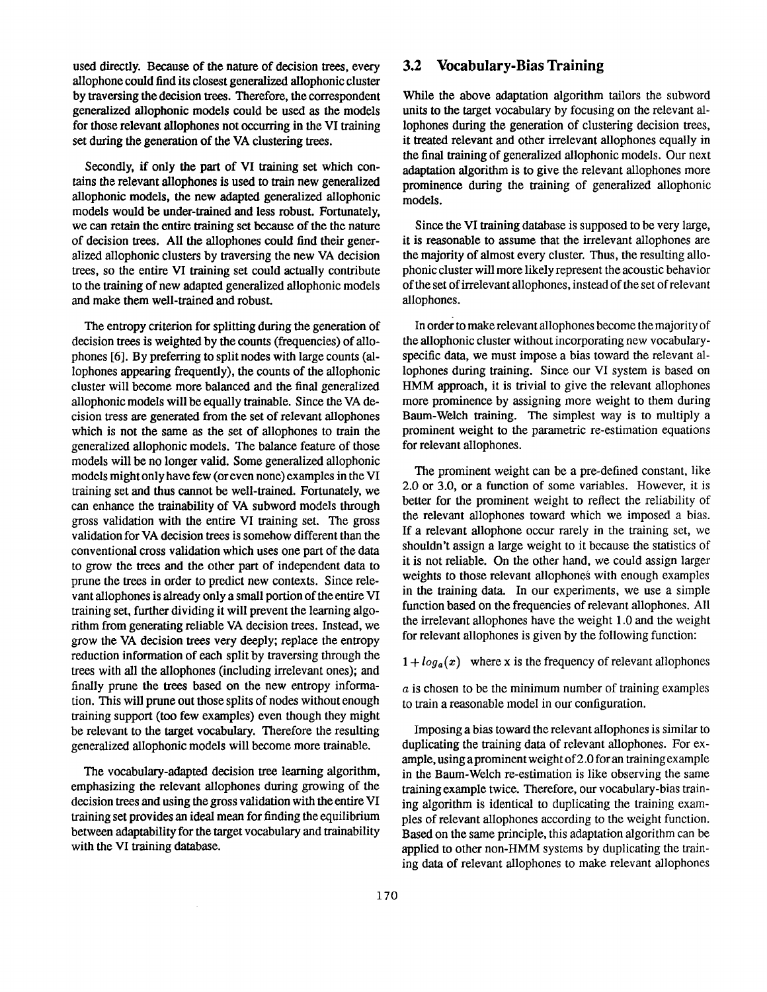used directly. Because of the nature of decision trees, every allophone could find its closest generalized allophonic cluster by traversing the decision trees. Therefore, the correspondent generalized allophonic models could be used as the models for those relevant allophones not occurring in the VI training set during the generation of the VA clustering trees.

Secondly, if only the part of VI training set which contains the relevant allophones is used to train new generalized allophonic models, the new adapted generalized allophonic models would be under-trained and less robust. Fortunately, we can retain the entire training set because of the the nature of decision trees. All the allophones could find their generalized allophonic clusters by traversing the new VA decision trees, so the entire VI training set could actually contribute to the training of new adapted generalized allophonic models and make them well-trained and robust.

The entropy criterion for splitting during the generation of decision trees is weighted by the counts (frequencies) of allophones [6]. By preferring to split nodes with large counts (allophones appearing frequently), the counts of the allophonic cluster will become more balanced and the final generalized allophonic models will be equally trainable. Since the VA decision tress are generated from the set of relevant allophones which is not the same as the set of allophones to train the generalized allophonic models. The balance feature of those models will be no longer valid. Some generalized allophonic models might only have few (or even none) examples in the VI training set and thus cannot be well-trained. Fortunately, we can enhance the trainability of VA subword models through gross validation with the entire VI training set. The gross validation for VA decision trees is somehow different than the conventional cross validation which uses one part of the data to grow the trees and the other part of independent data to prune the trees in order to predict new contexts. Since relevant allophones is already only a small portion of the entire VI training set, further dividing it will prevent the learning algorithm from generating reliable VA decision trees. Instead, we grow the VA decision trees very deeply; replace the entropy reduction information of each split by traversing through the trees with all the allophones (including irrelevant ones); and finally prune the trees based on the new entropy information. This will prune out those splits of nodes without enough training support (too few examples) even though they might be relevant to the target vocabulary. Therefore the resulting generalized allophonic models will become more trainable.

The vocabulary-adapted decision tree learning algorithm, emphasizing the relevant allophones during growing of the decision trees and using the gross validation with the entire VI training set provides an ideal mean for finding the equilibrium between adaptability for the target vocabulary and trainability with the VI training database.

#### **3.2 Vocabulary-Bias Training**

While the above adaptation algorithm tailors the subword units to the target vocabulary by focusing on the relevant allophones during the generation of clustering decision trees, it treated relevant and other irrelevant allophones equally in the final training of generalized allophonic models. Our next adaptation algorithm is to give the relevant allophones more prominence during the training of generalized allophonic models.

Since the VI training database is supposed to be very large, it is reasonable to assume that the irrelevant allophones are the majority of almost every cluster. Thus, the resulting allophonic cluster will more likely represent the acoustic behavior of the set of irrelevant allophones, instead of the set of relevant allophones.

In order to make relevant allophones become the majority of the allophonic cluster without incorporating new vocabularyspecific data, we must impose a bias toward the relevant allophones during training. Since our VI system is based on HMM approach, it is trivial to give the relevant allophones more prominence by assigning more weight to them during Baum-Welch training. The simplest way is to multiply a prominent weight to the parametric re-estimation equations for relevant allophones.

The prominent weight can be a pre-defined constant, like 2.0 or 3.0, or a function of some variables. However, it is better for the prominent weight to reflect the reliability of the relevant allophones toward which we imposed a bias. If a relevant allophone occur rarely in the training set, we shouldn't assign a large weight to it because the statistics of it is not reliable. On the other hand, we could assign larger weights to those relevant allophones with enough examples in the training data. In our experiments, we use a simple function based on the frequencies of relevant allophones. All the irrelevant allophones have the weight 1.0 and the weight for relevant allophones is given by the following function:

 $1 + log_a(x)$  where x is the frequency of relevant allophones

a is chosen to be the minimum number of training examples to train a reasonable model in our configuration.

Imposing a bias toward the relevant allophones is similar to duplicating the training data of relevant allophones. For example, using aprominent weight of 2.0 for an training example in the Baum-Welch re-estimation is like observing the same training example twice. Therefore, our vocabulary-bias training algorithm is identical to duplicating the training examples of relevant allophones according to the weight function. Based on the same principle, this adaptation algorithm can be applied to other non-HMM systems by duplicating the training data of relevant allophones to make relevant allophones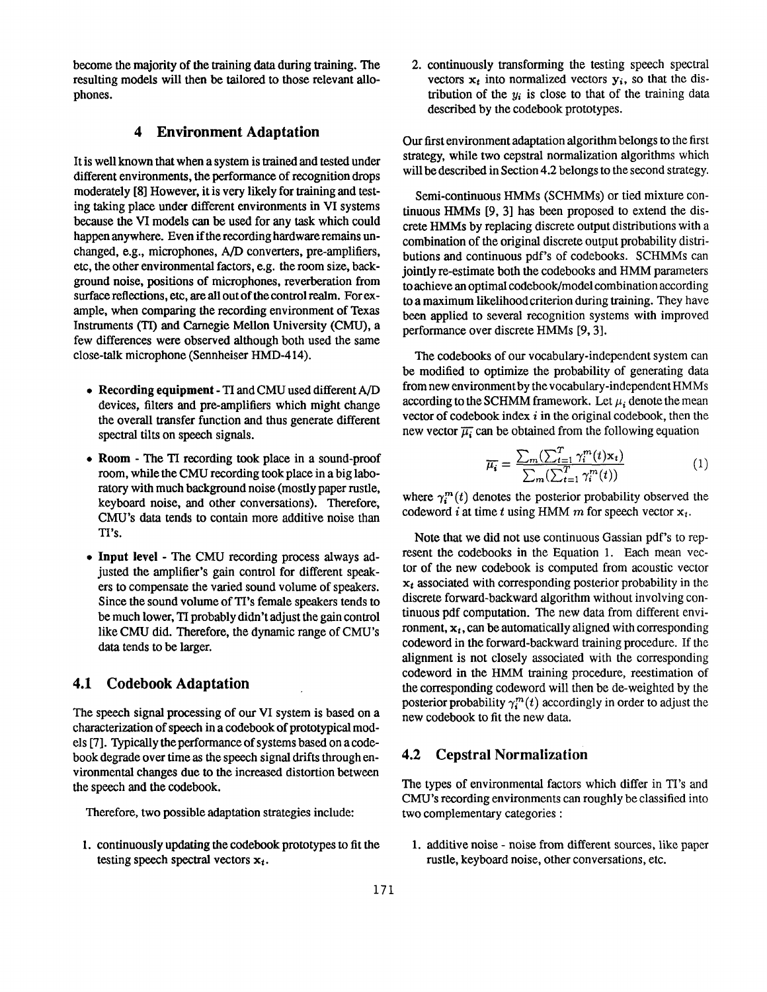become the majority of the training data during training. The resulting models will then be tailored to those relevant aUophones.

#### **4 Environment Adaptation**

It is well known that when a system is trained and tested under different environments, the performance of recognition drops moderately [8] However, it is very likely for training and testing taking place under different environments in VI systems because the VI models can be used for any task which could happen anywhere. Even if the recording hardware remains unchanged, e.g., microphones, A/D converters, pre-amplifiers, etc, the other environmental factors, e.g. the room size, background noise, positions of microphones, reverberation from surface reflections, etc, are all out of the control realm. For example, when comparing the recording environment of Texas Instruments (TI) and Carnegie Mellon University (CMU), a few differences were observed although both used the same close-talk microphone (Sennheiser HMD-414).

- **Recording equipment** TI and CMU used different A/D devices, filters and pre-amplifiers which might change the overall transfer function and thus generate different spectral tilts on speech signals.
- Room The TI recording took place in a sound-proof room, while the CMU recording took place in a big laboratory with much background noise (mostly paper rustle, keyboard noise, and other conversations). Therefore; CMU's data tends to contain more additive noise than TI's.
- Input level The CMU recording process always adjusted the amplifier's gain control for different speakers to compensate the varied sound volume of speakers. Since the sound volume of TI's female speakers tends to be much lower, TI probably didn't adjust the gain control like CMU did. Therefore, the dynamic range of CMU's data tends to be larger.

### **4.1 Codebook Adaptation**

The speech signal processing of our VI system is based on a characterization of speech in a codebook of prototypical models [7]. Typically the performance of systems based on a codebook degrade over time as the speech signal drifts through environmental changes due to the increased distortion between the speech and the codebook.

Therefore, two possible adaptation strategies include:

1. continuously updating the cooebook prototypes to fit the testing speech spectral vectors  $x_t$ .

2. continuously transforming the testing speech spectral vectors  $x_t$  into normalized vectors  $y_i$ , so that the distribution of the  $y_i$  is close to that of the training data described by the codebook prototypes.

Our first environment adaptation algorithm belongs to the first strategy, while two cepstral normalization algorithms which will be described in Section 4.2 belongs to the second strategy.

Semi-continuous HMMs (SCHMMs) or tied mixture continuous HMMs [9, 3] has been proposed to extend the discrete HMMs by replacing discrete output distributions with a combination of the original discrete output probability distributions and continuous pdf's of codebooks. SCHMMs can jointly re-estimate both the codebooks and HMM parameters to achieve an optimal codebook/model combination according to a maximum likelihood criterion during training. They have been applied to several recognition systems with improved performance over discrete HMMs [9, 3].

The codebooks of our vocabulary-independent system can be modified to optimize the probability of generating data from new environment by the vocabulary-independent HMMs according to the SCHMM framework. Let  $\mu_i$  denote the mean vector of codebook index  $i$  in the original codebook, then the new vector  $\overline{\mu_i}$  can be obtained from the following equation

$$
\overline{\mu_i} = \frac{\sum_m (\sum_{t=1}^T \gamma_i^m(t) \mathbf{x}_t)}{\sum_m (\sum_{t=1}^T \gamma_i^m(t))}
$$
(1)

where  $\gamma_i^m(t)$  denotes the posterior probability observed the codeword i at time t using HMM m for speech vector  $x_t$ .

Note that we did not use continuous Gassian pdf's to represent the codebooks in the Equation 1. Each mean vector of the new codebook is computed from acoustic vector  $x_t$  associated with corresponding posterior probability in the discrete forward-backward algorithm without involving continuous pdf computation. The new data from different environment,  $x_t$ , can be automatically aligned with corresponding codeword in the forward-backward training procedure. If the alignment is not closely associated with the corresponding codeword in the HMM training procedure, reestimation of the corresponding codeword will then be de-weighted by the posterior probability  $\gamma_i^m(t)$  accordingly in order to adjust the new codebook to fit the new data.

#### 4.2 Cepstral Normalization

The types of environmental factors which differ in TI's and CMU's recording environments can roughly be classified into two complementary categories :

1. additive noise - noise from different sources, like paper rustle, keyboard noise, other conversations, etc.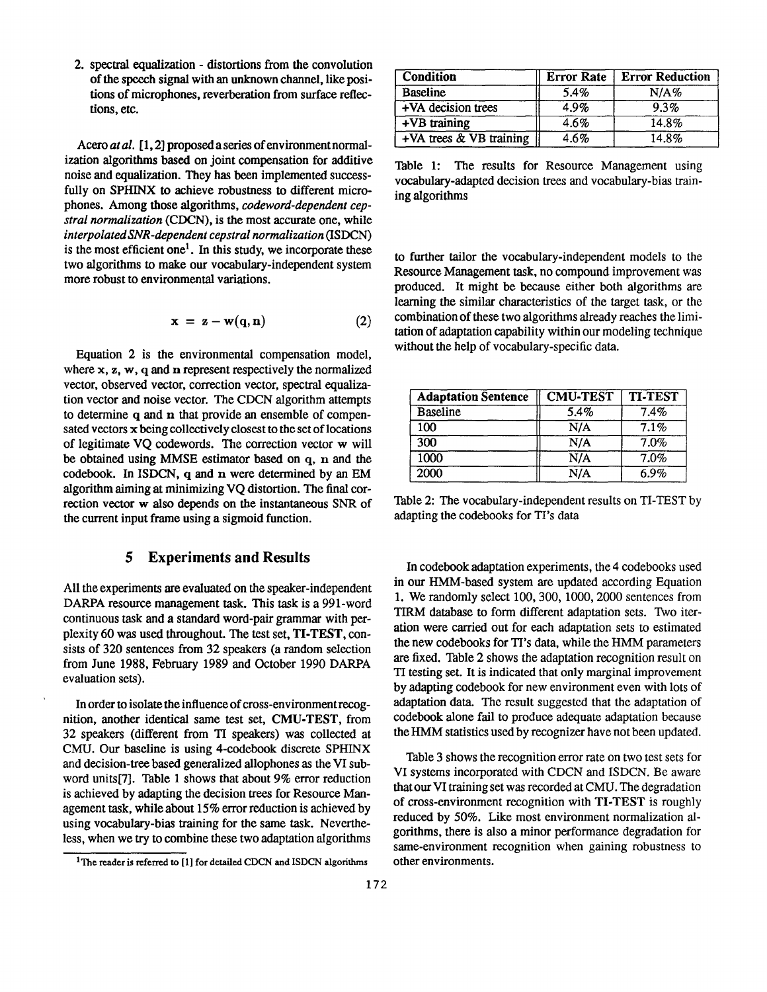2. spectral equalization - distortions from the convolution of the speech signal with an unknown channel, like positions of microphones, reverberation from surface reflections, etc.

Acero *at al.* [1,2] proposed a series of environment normalization algorithms based on joint compensation for additive noise and equalization. They has been implemented successfully on SPHINX to achieve robustness to different microphones. Among those algorithms, *codeword-dependent cepstral normalization* (CDCN), is the most accurate one, while *interpolated SNR-dependent cepstral normalization* (ISDCN) is the most efficient one<sup>1</sup>. In this study, we incorporate these two algorithms to make our vocabulary-independent system more robust to environmental variations.

$$
\mathbf{x} = \mathbf{z} - \mathbf{w}(\mathbf{q}, \mathbf{n}) \tag{2}
$$

Equation 2 is the environmental compensation model, where x, z, w, q and n represent respectively the normalized vector, observed vector, correction vector, spectral equalization vector and noise vector. The CDCN algorithm attempts to determine q and n that provide an ensemble of compensated vectors x being collectively closest to the set of locations of legitimate VQ codewords. The correction vector w will be obtained using MMSE estimator based on q, n and the codebook. In ISDCN, q and n were determined by an EM algorithm aiming at minimizing VQ distortion. The final correction vector w also depends on the instantaneous SNR of the current input frame using a sigmoid function.

## **5 Experiments and Results**

All the experiments are evaluated on the speaker-independent DARPA resource management task. This task is a 991-word continuous task and a standard word-pair grammar with perplexity 60 was used throughout. The test set, TI.TEST, consists of 320 sentences from 32 speakers (a random selection from June 1988, February 1989 and October 1990 DARPA evaluation sets).

In order to isolate the influence of cross-environment recognition, another identical same test set, CMU-TEST, from 32 speakers (different from TI speakers) was collected at CMU. Our baseline is using 4-codebook discrete SPHINX and decision-tree based generalized allophones as the VI subword units[7]. Table 1 shows that about 9% error reduction is achieved by adapting the decision trees for Resource Management task, while about 15% error reduction is achieved by using vocabulary-bias training for the same task. Nevertheless, when we try to combine these two adaptation algorithms

Table 1: The results for Resource Management using vocabulary-adapted decision trees and vocabulary-bias training algorithms

to further tailor the vocabulary-independent models to the Resource Management task, no compound improvement was produced. It might be because either both algorithms are learning the similar characteristics of the target task, or the combination of these two algorithms already reaches the limitation of adaptation capability within our modeling technique without the help of vocabulary-specific data.

| <b>Adaptation Sentence</b> | <b>CMU-TEST</b> | <b>TI-TEST</b> |
|----------------------------|-----------------|----------------|
| <b>Baseline</b>            | 5.4%            | 7.4%           |
| 100                        | N/A             | 7.1%           |
| 300                        | N/A             | 7.0%           |
| 1000                       | N/A             | 7.0%           |
| 2000                       | N/A             | 6.9%           |

Table 2: The vocabulary-independent results on TI-TEST by adapting the codebooks for TI's data

In codebook adaptation experiments, the 4 codebooks used in our HMM-based system are updated according Equation 1. We randomly select 100, 300, 1000, 2000 sentences from TIRM database to form different adaptation sets. Two iteration were carried out for each adaptation sets to estimated the new codebooks for TI's data, while the HMM parameters are fixed. Table 2 shows the adaptation recognition result on TI testing set. It is indicated that only marginal improvement by adapting codebook for new environment even with lots of adaptation data. The result suggested that the adaptation of codebook alone fail to produce adequate adaptation because the HMM statistics used by recognizer have not been updated.

Table 3 shows the recognition error rate on two test sets for VI systems incorporated with CDCN and ISDCN. Be aware that our VI training set was recorded at CMU. The degradation of cross-environment recognition with TI-TEST is roughly reduced by 50%. Like most environment normalization algorithms, there is also a minor performance degradation for same-environment recognition when gaining robustness to other environments.

<sup>&</sup>lt;sup>1</sup>The reader is referred to [1] for detailed CDCN and ISDCN algorithms